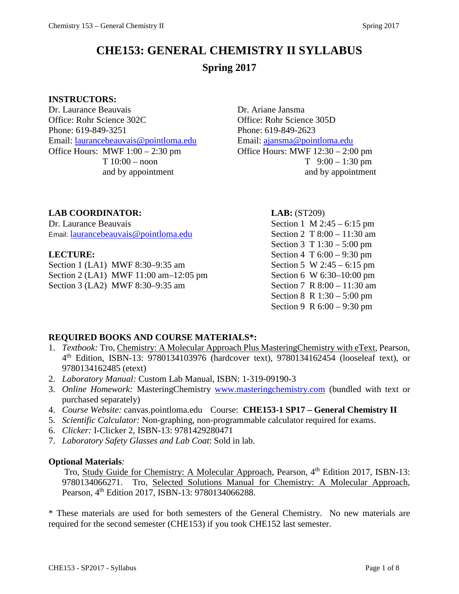# **CHE153: GENERAL CHEMISTRY II SYLLABUS Spring 2017**

#### **INSTRUCTORS:**

Dr. Laurance Beauvais Dr. Ariane Jansma Office: Rohr Science 302C Office: Rohr Science 305D Phone: 619-849-3251 Phone: 619-849-2623 Email: [laurancebeauvais@pointloma.edu](mailto:laurancebeauvais@pointloma.edu) Email: [ajansma@pointloma.edu](mailto:ajansma@pointloma.edu) Office Hours: MWF  $1:00 - 2:30$  pm  $\qquad \qquad$  Office Hours: MWF  $12:30 - 2:00$  pm

 $T \quad 10:00 - n$ oon  $T \quad 9:00 - 1:30 \text{ pm}$ and by appointment and by appointment

#### **LAB COORDINATOR: LAB:** (ST209)

Dr. Laurance Beauvais Section 1 M 2:45 – 6:15 pm Email: [laurancebeauvais@pointloma.edu](mailto:laurancebeauvais@pointloma.edu) Section 2 T 8:00 – 11:30 am

Section 1 (LA1) MWF 8:30–9:35 am Section 5 W 2:45 – 6:15 pm Section 2 (LA1) MWF 11:00 am–12:05 pm Section 6 W 6:30–10:00 pm Section 3 (LA2) MWF 8:30–9:35 am Section 7 R 8:00 – 11:30 am

Section 3 T 1:30 – 5:00 pm **LECTURE:** Section 4 T 6:00 – 9:30 pm Section 8 R 1:30 – 5:00 pm Section 9 R 6:00 – 9:30 pm

#### **REQUIRED BOOKS AND COURSE MATERIALS\*:**

- 1. *Textbook:* Tro, Chemistry: A Molecular Approach Plus MasteringChemistry with eText, Pearson, 4th Edition, ISBN-13: 9780134103976 (hardcover text), 9780134162454 (looseleaf text), or 9780134162485 (etext)
- 2. *Laboratory Manual:* Custom Lab Manual, ISBN: 1-319-09190-3
- 3. *Online Homework:* MasteringChemistry [www.masteringchemistry.com](http://www.masteringchemistry.com/) (bundled with text or purchased separately)
- 4. *Course Website:* canvas.pointloma.edu Course: **CHE153-1 SP17 – General Chemistry II**
- 5. *Scientific Calculator:* Non-graphing, non-programmable calculator required for exams.
- 6. *Clicker:* I-Clicker 2, ISBN-13: 9781429280471
- 7. *Laboratory Safety Glasses and Lab Coat*: Sold in lab.

#### **Optional Materials***:*

Tro, Study Guide for Chemistry: A Molecular Approach, Pearson, 4<sup>th</sup> Edition 2017, ISBN-13: 9780134066271. Tro, Selected Solutions Manual for Chemistry: A Molecular Approach, Pearson, 4<sup>th</sup> Edition 2017, ISBN-13: 9780134066288.

\* These materials are used for both semesters of the General Chemistry. No new materials are required for the second semester (CHE153) if you took CHE152 last semester.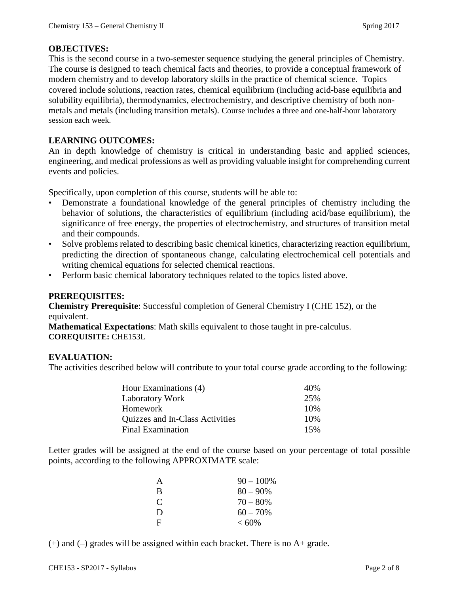#### **OBJECTIVES:**

This is the second course in a two-semester sequence studying the general principles of Chemistry. The course is designed to teach chemical facts and theories, to provide a conceptual framework of modern chemistry and to develop laboratory skills in the practice of chemical science. Topics covered include solutions, reaction rates, chemical equilibrium (including acid-base equilibria and solubility equilibria), thermodynamics, electrochemistry, and descriptive chemistry of both nonmetals and metals (including transition metals). Course includes a three and one-half-hour laboratory session each week.

#### **LEARNING OUTCOMES:**

An in depth knowledge of chemistry is critical in understanding basic and applied sciences, engineering, and medical professions as well as providing valuable insight for comprehending current events and policies.

Specifically, upon completion of this course, students will be able to:

- Demonstrate a foundational knowledge of the general principles of chemistry including the behavior of solutions, the characteristics of equilibrium (including acid/base equilibrium), the significance of free energy, the properties of electrochemistry, and structures of transition metal and their compounds.
- Solve problems related to describing basic chemical kinetics, characterizing reaction equilibrium, predicting the direction of spontaneous change, calculating electrochemical cell potentials and writing chemical equations for selected chemical reactions.
- Perform basic chemical laboratory techniques related to the topics listed above.

#### **PREREQUISITES:**

**Chemistry Prerequisite**: Successful completion of General Chemistry I (CHE 152), or the equivalent.

**Mathematical Expectations**: Math skills equivalent to those taught in pre-calculus. **COREQUISITE:** CHE153L

#### **EVALUATION:**

The activities described below will contribute to your total course grade according to the following:

| Hour Examinations (4)           | 40% |
|---------------------------------|-----|
| Laboratory Work                 | 25% |
| Homework                        | 10% |
| Quizzes and In-Class Activities | 10% |
| <b>Final Examination</b>        | 15% |

Letter grades will be assigned at the end of the course based on your percentage of total possible points, according to the following APPROXIMATE scale:

| A | $90 - 100\%$ |
|---|--------------|
| B | $80 - 90\%$  |
| C | $70 - 80%$   |
| D | $60 - 70\%$  |
| F | $< 60\%$     |

 $(+)$  and  $(-)$  grades will be assigned within each bracket. There is no  $A+$  grade.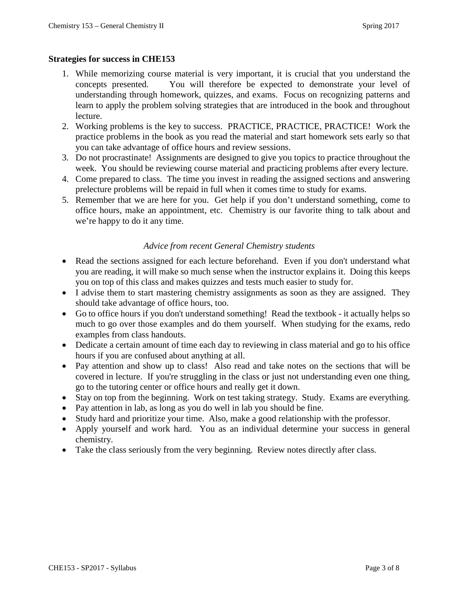#### **Strategies for success in CHE153**

- 1. While memorizing course material is very important, it is crucial that you understand the concepts presented. You will therefore be expected to demonstrate your level of understanding through homework, quizzes, and exams. Focus on recognizing patterns and learn to apply the problem solving strategies that are introduced in the book and throughout lecture.
- 2. Working problems is the key to success. PRACTICE, PRACTICE, PRACTICE! Work the practice problems in the book as you read the material and start homework sets early so that you can take advantage of office hours and review sessions.
- 3. Do not procrastinate! Assignments are designed to give you topics to practice throughout the week. You should be reviewing course material and practicing problems after every lecture.
- 4. Come prepared to class. The time you invest in reading the assigned sections and answering prelecture problems will be repaid in full when it comes time to study for exams.
- 5. Remember that we are here for you. Get help if you don't understand something, come to office hours, make an appointment, etc. Chemistry is our favorite thing to talk about and we're happy to do it any time.

#### *Advice from recent General Chemistry students*

- Read the sections assigned for each lecture beforehand. Even if you don't understand what you are reading, it will make so much sense when the instructor explains it. Doing this keeps you on top of this class and makes quizzes and tests much easier to study for.
- I advise them to start mastering chemistry assignments as soon as they are assigned. They should take advantage of office hours, too.
- Go to office hours if you don't understand something! Read the textbook it actually helps so much to go over those examples and do them yourself. When studying for the exams, redo examples from class handouts.
- Dedicate a certain amount of time each day to reviewing in class material and go to his office hours if you are confused about anything at all.
- Pay attention and show up to class! Also read and take notes on the sections that will be covered in lecture. If you're struggling in the class or just not understanding even one thing, go to the tutoring center or office hours and really get it down.
- Stay on top from the beginning. Work on test taking strategy. Study. Exams are everything.
- Pay attention in lab, as long as you do well in lab you should be fine.
- Study hard and prioritize your time. Also, make a good relationship with the professor.
- Apply yourself and work hard. You as an individual determine your success in general chemistry.
- Take the class seriously from the very beginning. Review notes directly after class.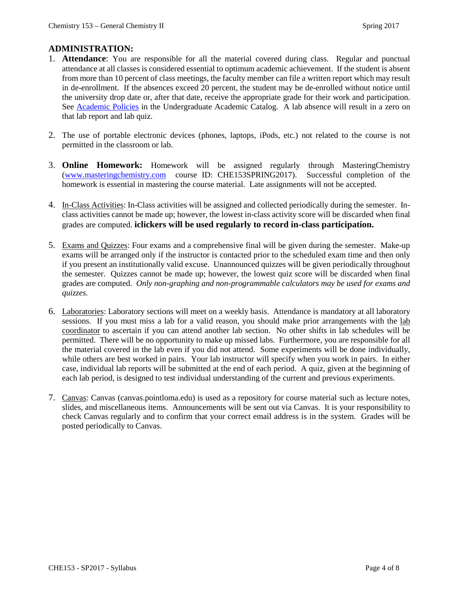### **ADMINISTRATION:**

- 1. **Attendance**: You are responsible for all the material covered during class. Regular and punctual attendance at all classes is considered essential to optimum academic achievement. If the student is absent from more than 10 percent of class meetings, the faculty member can file a written report which may result in de-enrollment. If the absences exceed 20 percent, the student may be de-enrolled without notice until the university drop date or, after that date, receive the appropriate grade for their work and participation. See [Academic Policies](http://catalog.pointloma.edu/content.php?catoid=18&navoid=1278) in the Undergraduate Academic Catalog. A lab absence will result in a zero on that lab report and lab quiz.
- 2. The use of portable electronic devices (phones, laptops, iPods, etc.) not related to the course is not permitted in the classroom or lab.
- 3. **Online Homework:** Homework will be assigned regularly through MasteringChemistry [\(www.masteringchemistry.com](http://www.masteringchemistry.com/) course ID: CHE153SPRING2017). Successful completion of the homework is essential in mastering the course material. Late assignments will not be accepted.
- 4. In-Class Activities: In-Class activities will be assigned and collected periodically during the semester. Inclass activities cannot be made up; however, the lowest in-class activity score will be discarded when final grades are computed. **iclickers will be used regularly to record in-class participation.**
- 5. Exams and Quizzes: Four exams and a comprehensive final will be given during the semester. Make-up exams will be arranged only if the instructor is contacted prior to the scheduled exam time and then only if you present an institutionally valid excuse. Unannounced quizzes will be given periodically throughout the semester. Quizzes cannot be made up; however, the lowest quiz score will be discarded when final grades are computed. *Only non-graphing and non-programmable calculators may be used for exams and quizzes.*
- 6. Laboratories: Laboratory sections will meet on a weekly basis. Attendance is mandatory at all laboratory sessions. If you must miss a lab for a valid reason, you should make prior arrangements with the lab coordinator to ascertain if you can attend another lab section. No other shifts in lab schedules will be permitted. There will be no opportunity to make up missed labs. Furthermore, you are responsible for all the material covered in the lab even if you did not attend. Some experiments will be done individually, while others are best worked in pairs. Your lab instructor will specify when you work in pairs. In either case, individual lab reports will be submitted at the end of each period. A quiz, given at the beginning of each lab period, is designed to test individual understanding of the current and previous experiments.
- 7. Canvas: Canvas (canvas.pointloma.edu) is used as a repository for course material such as lecture notes, slides, and miscellaneous items. Announcements will be sent out via Canvas. It is your responsibility to check Canvas regularly and to confirm that your correct email address is in the system. Grades will be posted periodically to Canvas.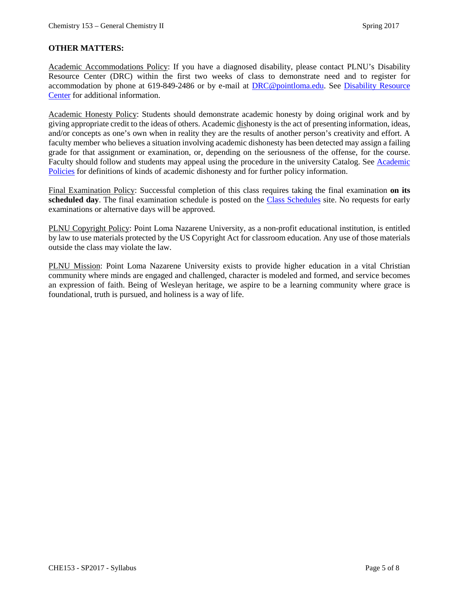#### **OTHER MATTERS:**

Academic Accommodations Policy: If you have a diagnosed disability, please contact PLNU's Disability Resource Center (DRC) within the first two weeks of class to demonstrate need and to register for accommodation by phone at 619-849-2486 or by e-mail at **DRC@pointloma.edu**. See Disability Resource [Center](http://www.pointloma.edu/experience/offices/administrative-offices/academic-advising-office/disability-resource-center) for additional information.

Academic Honesty Policy: Students should demonstrate academic honesty by doing original work and by giving appropriate credit to the ideas of others. Academic dishonesty is the act of presenting information, ideas, and/or concepts as one's own when in reality they are the results of another person's creativity and effort. A faculty member who believes a situation involving academic dishonesty has been detected may assign a failing grade for that assignment or examination, or, depending on the seriousness of the offense, for the course. Faculty should follow and students may appeal using the procedure in the university Catalog. See [Academic](http://catalog.pointloma.edu/content.php?catoid=18&navoid=1278)  [Policies](http://catalog.pointloma.edu/content.php?catoid=18&navoid=1278) for definitions of kinds of academic dishonesty and for further policy information.

Final Examination Policy: Successful completion of this class requires taking the final examination **on its scheduled day**. The final examination schedule is posted on the [Class Schedules](http://www.pointloma.edu/experience/academics/class-schedules) site. No requests for early examinations or alternative days will be approved.

PLNU Copyright Policy: Point Loma Nazarene University, as a non-profit educational institution, is entitled by law to use materials protected by the US Copyright Act for classroom education. Any use of those materials outside the class may violate the law.

PLNU Mission: Point Loma Nazarene University exists to provide higher education in a vital Christian community where minds are engaged and challenged, character is modeled and formed, and service becomes an expression of faith. Being of Wesleyan heritage, we aspire to be a learning community where grace is foundational, truth is pursued, and holiness is a way of life.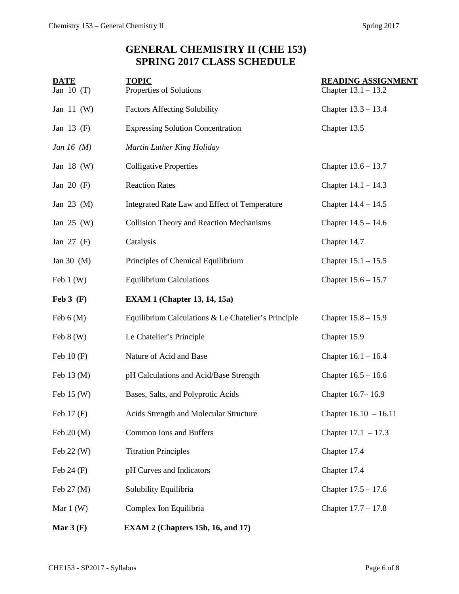# **GENERAL CHEMISTRY II (CHE 153) SPRING 2017 CLASS SCHEDULE**

| <b>DATE</b>                 | <b>TOPIC</b>                                                           | <b>READING ASSIGNMENT</b> |  |
|-----------------------------|------------------------------------------------------------------------|---------------------------|--|
| Jan $10(T)$                 | Properties of Solutions                                                | Chapter $13.1 - 13.2$     |  |
| Jan $11$ (W)                | <b>Factors Affecting Solubility</b>                                    | Chapter $13.3 - 13.4$     |  |
| Jan 13 (F)                  | <b>Expressing Solution Concentration</b><br>Chapter 13.5               |                           |  |
| Jan 16 $(M)$                | Martin Luther King Holiday                                             |                           |  |
| Jan 18 $(W)$                | <b>Colligative Properties</b><br>Chapter $13.6 - 13.7$                 |                           |  |
| Jan $20$ (F)                | <b>Reaction Rates</b><br>Chapter $14.1 - 14.3$                         |                           |  |
| Jan 23 (M)                  | Integrated Rate Law and Effect of Temperature<br>Chapter $14.4 - 14.5$ |                           |  |
| Jan $25$ (W)                | Collision Theory and Reaction Mechanisms<br>Chapter $14.5 - 14.6$      |                           |  |
| Jan $27$ (F)                | Chapter 14.7<br>Catalysis                                              |                           |  |
| Jan 30 (M)                  | Principles of Chemical Equilibrium<br>Chapter $15.1 - 15.5$            |                           |  |
| Feb $1(W)$                  | <b>Equilibrium Calculations</b><br>Chapter $15.6 - 15.7$               |                           |  |
| $\text{Feb } 3 \text{ (F)}$ | <b>EXAM 1 (Chapter 13, 14, 15a)</b>                                    |                           |  |
| Feb $6(M)$                  | Equilibrium Calculations & Le Chatelier's Principle                    | Chapter $15.8 - 15.9$     |  |
| Feb $8(W)$                  | Le Chatelier's Principle                                               | Chapter 15.9              |  |
| Feb $10(F)$                 | Nature of Acid and Base                                                | Chapter $16.1 - 16.4$     |  |
| Feb $13 \, (M)$             | pH Calculations and Acid/Base Strength<br>Chapter $16.5 - 16.6$        |                           |  |
| Feb 15 (W)                  | Chapter 16.7-16.9<br>Bases, Salts, and Polyprotic Acids                |                           |  |
| Feb 17 (F)                  | Acids Strength and Molecular Structure<br>Chapter $16.10 - 16.11$      |                           |  |
| Feb 20 (M)                  | Common Ions and Buffers<br>Chapter $17.1 - 17.3$                       |                           |  |
| Feb 22 (W)                  | <b>Titration Principles</b><br>Chapter 17.4                            |                           |  |
| Feb $24$ (F)                | pH Curves and Indicators                                               | Chapter 17.4              |  |
| Feb 27 (M)                  | Solubility Equilibria<br>Chapter $17.5 - 17.6$                         |                           |  |
| Mar $1(W)$                  | Complex Ion Equilibria<br>Chapter $17.7 - 17.8$                        |                           |  |
| Mar $3(F)$                  | EXAM 2 (Chapters 15b, 16, and 17)                                      |                           |  |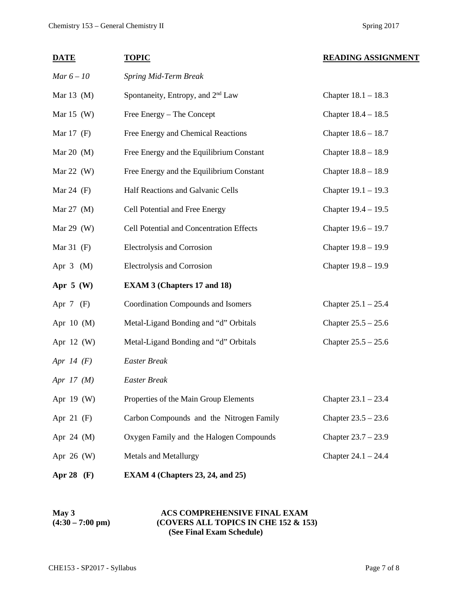| <b>DATE</b>     | <b>TOPIC</b>                                                   | <b>READING ASSIGNMENT</b> |  |
|-----------------|----------------------------------------------------------------|---------------------------|--|
| $Mar 6 - 10$    | Spring Mid-Term Break                                          |                           |  |
| Mar $13 \, (M)$ | Spontaneity, Entropy, and 2 <sup>nd</sup> Law                  | Chapter $18.1 - 18.3$     |  |
| Mar $15$ (W)    | Free Energy – The Concept<br>Chapter $18.4 - 18.5$             |                           |  |
| Mar $17$ (F)    | Free Energy and Chemical Reactions                             | Chapter $18.6 - 18.7$     |  |
| Mar 20 $(M)$    | Free Energy and the Equilibrium Constant                       | Chapter $18.8 - 18.9$     |  |
| Mar 22 $(W)$    | Free Energy and the Equilibrium Constant                       | Chapter $18.8 - 18.9$     |  |
| Mar 24 $(F)$    | Half Reactions and Galvanic Cells                              | Chapter $19.1 - 19.3$     |  |
| Mar 27 (M)      | Cell Potential and Free Energy                                 | Chapter $19.4 - 19.5$     |  |
| Mar $29$ (W)    | Cell Potential and Concentration Effects                       | Chapter 19.6 - 19.7       |  |
| Mar $31$ (F)    | <b>Electrolysis and Corrosion</b>                              | Chapter 19.8 - 19.9       |  |
| Apr $3$ (M)     | Electrolysis and Corrosion                                     | Chapter 19.8 - 19.9       |  |
| Apr $5$ (W)     | <b>EXAM 3 (Chapters 17 and 18)</b>                             |                           |  |
| Apr $7$ (F)     | Coordination Compounds and Isomers                             | Chapter $25.1 - 25.4$     |  |
| Apr $10$ (M)    | Metal-Ligand Bonding and "d" Orbitals                          | Chapter $25.5 - 25.6$     |  |
| Apr 12 (W)      | Metal-Ligand Bonding and "d" Orbitals<br>Chapter $25.5 - 25.6$ |                           |  |
| Apr $14$ (F)    | <b>Easter Break</b>                                            |                           |  |
| Apr $17 \ (M)$  | <b>Easter Break</b>                                            |                           |  |
| Apr 19 (W)      | Properties of the Main Group Elements                          | Chapter $23.1 - 23.4$     |  |
| Apr $21$ (F)    | Carbon Compounds and the Nitrogen Family                       | Chapter $23.5 - 23.6$     |  |
| Apr 24 (M)      | Oxygen Family and the Halogen Compounds                        | Chapter $23.7 - 23.9$     |  |
| Apr 26 (W)      | Metals and Metallurgy                                          | Chapter $24.1 - 24.4$     |  |
| Apr 28 (F)      | EXAM 4 (Chapters 23, 24, and 25)                               |                           |  |

#### May 3 <br>**ACS COMPREHENSIVE FINAL EXAM**<br>**(4:30 – 7:00 pm)** <br>(COVERS ALL TOPICS IN CHE 152 & 15 **(4:30 – 7:00 pm) (COVERS ALL TOPICS IN CHE 152 & 153) (See Final Exam Schedule)**